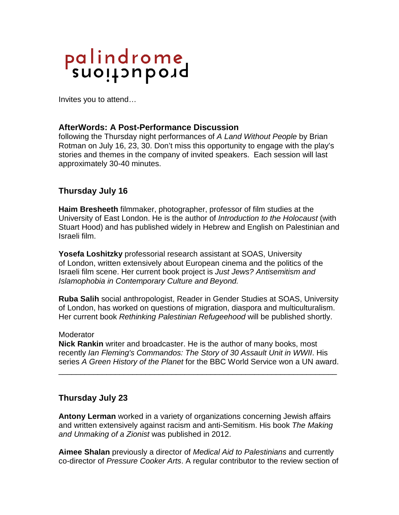# palindrome<br>suoitauboid

Invites you to attend…

## **AfterWords: A Post-Performance Discussion**

following the Thursday night performances of *A Land Without People* by Brian Rotman on July 16, 23, 30. Don't miss this opportunity to engage with the play's stories and themes in the company of invited speakers. Each session will last approximately 30-40 minutes.

# **Thursday July 16**

**Haim Bresheeth** filmmaker, photographer, professor of film studies at the University of East London. He is the author of *Introduction to the Holocaust* (with Stuart Hood) and has published widely in Hebrew and English on Palestinian and Israeli film.

**Yosefa Loshitzky** professorial research assistant at SOAS, University of London, written extensively about European cinema and the politics of the Israeli film scene. Her current book project is *Just Jews? Antisemitism and Islamophobia in Contemporary Culture and Beyond.*

**Ruba Salih** social anthropologist, Reader in Gender Studies at SOAS, University of London, has worked on questions of migration, diaspora and multiculturalism. Her current book *Rethinking Palestinian Refugeehood* will be published shortly.

### **Moderator**

**Nick Rankin** writer and broadcaster. He is the author of many books, most recently *[Ian Fleming](https://en.wikipedia.org/wiki/Ian_Fleming)'s Commandos: The Story of [30 Assault Unit](https://en.wikipedia.org/wiki/30_Assault_Unit) in WWII*. His series *A Green History of the Planet* for the BBC World Service won a UN award.

\_\_\_\_\_\_\_\_\_\_\_\_\_\_\_\_\_\_\_\_\_\_\_\_\_\_\_\_\_\_\_\_\_\_\_\_\_\_\_\_\_\_\_\_\_\_\_\_\_\_\_\_\_\_\_\_\_\_\_\_\_\_\_\_

# **Thursday July 23**

**Antony Lerman** worked in a variety of organizations concerning Jewish affairs and written extensively against racism and anti-Semitism. His book *The Making and Unmaking of a Zionist* was published in 2012.

**Aimee Shalan** previously a director of *Medical Aid to Palestinians* and currently co-director of *Pressure Cooker Arts*. A regular contributor to the review section of